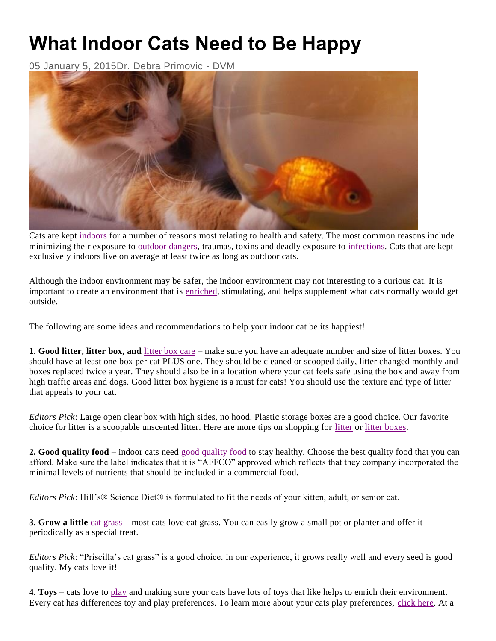## **What Indoor Cats Need to Be Happy**

05 January 5, 2015Dr. Debra Primovic - DVM



Cats are kept [indoors](https://www.petplace.com/article/cats/keeping-your-cat-healthy/health-safety/the-great-debate-indoor-versus-outdoor-cats) for a number of reasons most relating to health and safety. The most common reasons include minimizing their exposure to [outdoor dangers,](https://www.petplace.com/article/cats/keeping-your-cat-healthy/health-safety/outdoor-dangers) traumas, toxins and deadly exposure to [infections.](https://www.petplace.com/article/cats/diseases-conditions-of-cats/infection/feline-leukemia-virus-felv) Cats that are kept exclusively indoors live on average at least twice as long as outdoor cats.

Although the indoor environment may be safer, the indoor environment may not interesting to a curious cat. It is important to create an environment that is [enriched,](https://www.petplace.com/article/cats/behavior-training/normal-behavior/what-indoor-cats-need-to-be-happy) stimulating, and helps supplement what cats normally would get outside.

The following are some ideas and recommendations to help your indoor cat be its happiest!

**1. Good litter, litter box, and** [litter box care](https://www.petplace.com/article/cats/keeping-your-cat-healthy/litter-box-care/the-fine-art-of-litter-box-care) – make sure you have an adequate number and size of litter boxes. You should have at least one box per cat PLUS one. They should be cleaned or scooped daily, litter changed monthly and boxes replaced twice a year. They should also be in a location where your cat feels safe using the box and away from high traffic areas and dogs. Good litter box hygiene is a must for cats! You should use the texture and type of litter that appeals to your cat.

*Editors Pick*: Large open clear box with high sides, no hood. Plastic storage boxes are a good choice. Our favorite choice for litter is a scoopable unscented litter. Here are more tips on shopping for [litter](https://www.petplace.com/cats/what-is-the-best-type-of-cat-litter/Page1.aspx) or [litter boxes.](https://www.petplace.com/cats/how-many-litter-boxes-should-i-have/Page1.aspx)

**2. Good quality food** – indoor cats need [good quality food](https://www.petplace.com/article/cats/keeping-your-cat-healthy/feeding-nutrition/feeding-your-adult-cat) to stay healthy. Choose the best quality food that you can afford. Make sure the label indicates that it is "AFFCO" approved which reflects that they company incorporated the minimal levels of nutrients that should be included in a commercial food.

*Editors Pick*: Hill's® Science Diet® is formulated to fit the needs of your kitten, adult, or senior cat.

**3. Grow a little** [cat grass](https://www.petplace.com/article/cats/behavior-training/normal-behavior/grass-roots-why-your-cat-nibbles-grass) – most cats love cat grass. You can easily grow a small pot or planter and offer it periodically as a special treat.

*Editors Pick*: "Priscilla's cat grass" is a good choice. In our experience, it grows really well and every seed is good quality. My cats love it!

**4. Toys** – cats love to [play](https://www.petplace.com/article/cats/behavior-training/understanding-your-cat/how-cats-play) and making sure your cats have lots of toys that like helps to enrich their environment. Every cat has differences toy and play preferences. To learn more about your cats play preferences, [click here.](https://www.petplace.com/cats/toys-for-your-cats-play-preference/Page1.aspx) At a